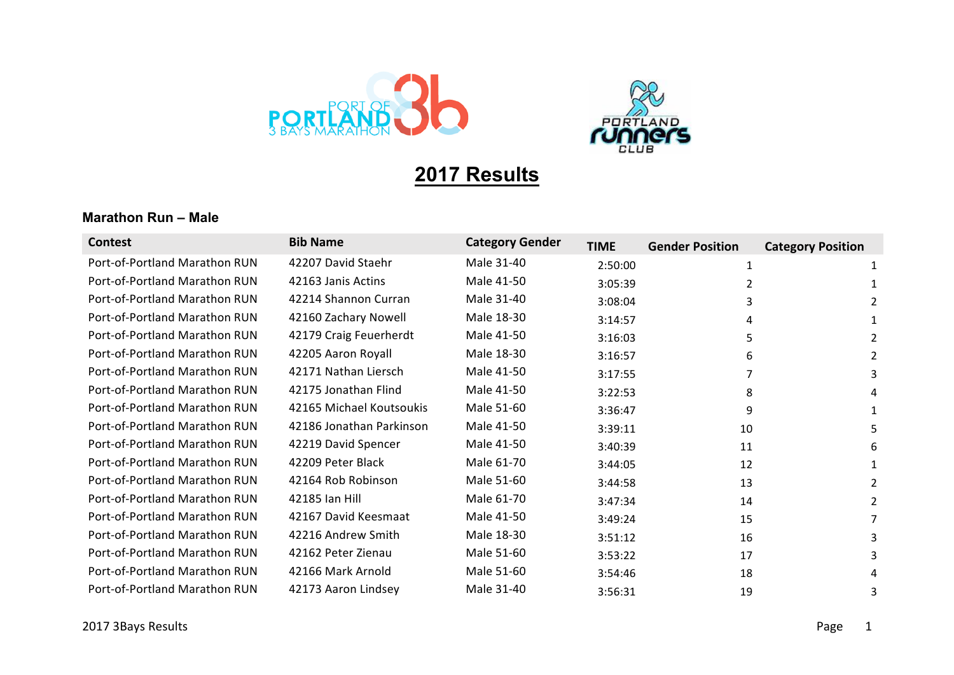



# **2017 Results**

#### **Marathon Run – Male**

| <b>Contest</b>                | <b>Bib Name</b>          | <b>Category Gender</b> | <b>TIME</b> | <b>Gender Position</b> | <b>Category Position</b> |
|-------------------------------|--------------------------|------------------------|-------------|------------------------|--------------------------|
| Port-of-Portland Marathon RUN | 42207 David Staehr       | Male 31-40             | 2:50:00     | 1                      | 1                        |
| Port-of-Portland Marathon RUN | 42163 Janis Actins       | Male 41-50             | 3:05:39     | 2                      |                          |
| Port-of-Portland Marathon RUN | 42214 Shannon Curran     | Male 31-40             | 3:08:04     | 3                      | 2                        |
| Port-of-Portland Marathon RUN | 42160 Zachary Nowell     | Male 18-30             | 3:14:57     |                        |                          |
| Port-of-Portland Marathon RUN | 42179 Craig Feuerherdt   | Male 41-50             | 3:16:03     | 5                      | 2                        |
| Port-of-Portland Marathon RUN | 42205 Aaron Royall       | Male 18-30             | 3:16:57     | 6                      | 2                        |
| Port-of-Portland Marathon RUN | 42171 Nathan Liersch     | Male 41-50             | 3:17:55     | 7                      | 3                        |
| Port-of-Portland Marathon RUN | 42175 Jonathan Flind     | Male 41-50             | 3:22:53     | 8                      | 4                        |
| Port-of-Portland Marathon RUN | 42165 Michael Koutsoukis | Male 51-60             | 3:36:47     | 9                      | 1                        |
| Port-of-Portland Marathon RUN | 42186 Jonathan Parkinson | Male 41-50             | 3:39:11     | 10                     | 5.                       |
| Port-of-Portland Marathon RUN | 42219 David Spencer      | Male 41-50             | 3:40:39     | 11                     | 6                        |
| Port-of-Portland Marathon RUN | 42209 Peter Black        | Male 61-70             | 3:44:05     | 12                     |                          |
| Port-of-Portland Marathon RUN | 42164 Rob Robinson       | Male 51-60             | 3:44:58     | 13                     | $\mathcal{P}$            |
| Port-of-Portland Marathon RUN | 42185 Ian Hill           | Male 61-70             | 3:47:34     | 14                     | 2                        |
| Port-of-Portland Marathon RUN | 42167 David Keesmaat     | Male 41-50             | 3:49:24     | 15                     |                          |
| Port-of-Portland Marathon RUN | 42216 Andrew Smith       | Male 18-30             | 3:51:12     | 16                     | 3                        |
| Port-of-Portland Marathon RUN | 42162 Peter Zienau       | Male 51-60             | 3:53:22     | 17                     |                          |
| Port-of-Portland Marathon RUN | 42166 Mark Arnold        | Male 51-60             | 3:54:46     | 18                     |                          |
| Port-of-Portland Marathon RUN | 42173 Aaron Lindsey      | Male 31-40             | 3:56:31     | 19                     |                          |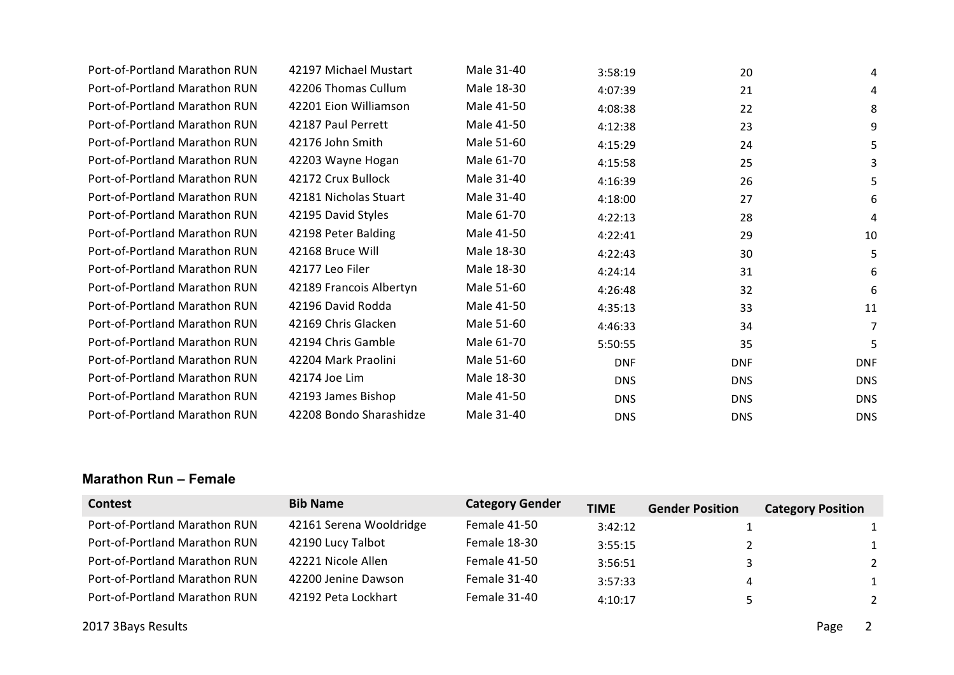| Port-of-Portland Marathon RUN | 42197 Michael Mustart   | Male 31-40 | 3:58:19    | 20         | 4          |
|-------------------------------|-------------------------|------------|------------|------------|------------|
| Port-of-Portland Marathon RUN | 42206 Thomas Cullum     | Male 18-30 | 4:07:39    | 21         | 4          |
| Port-of-Portland Marathon RUN | 42201 Eion Williamson   | Male 41-50 | 4:08:38    | 22         | 8          |
| Port-of-Portland Marathon RUN | 42187 Paul Perrett      | Male 41-50 | 4:12:38    | 23         | 9          |
| Port-of-Portland Marathon RUN | 42176 John Smith        | Male 51-60 | 4:15:29    | 24         | 5          |
| Port-of-Portland Marathon RUN | 42203 Wayne Hogan       | Male 61-70 | 4:15:58    | 25         | 3          |
| Port-of-Portland Marathon RUN | 42172 Crux Bullock      | Male 31-40 | 4:16:39    | 26         | 5          |
| Port-of-Portland Marathon RUN | 42181 Nicholas Stuart   | Male 31-40 | 4:18:00    | 27         | 6          |
| Port-of-Portland Marathon RUN | 42195 David Styles      | Male 61-70 | 4:22:13    | 28         | 4          |
| Port-of-Portland Marathon RUN | 42198 Peter Balding     | Male 41-50 | 4:22:41    | 29         | 10         |
| Port-of-Portland Marathon RUN | 42168 Bruce Will        | Male 18-30 | 4:22:43    | 30         | 5          |
| Port-of-Portland Marathon RUN | 42177 Leo Filer         | Male 18-30 | 4:24:14    | 31         | 6          |
| Port-of-Portland Marathon RUN | 42189 Francois Albertyn | Male 51-60 | 4:26:48    | 32         | 6          |
| Port-of-Portland Marathon RUN | 42196 David Rodda       | Male 41-50 | 4:35:13    | 33         | 11         |
| Port-of-Portland Marathon RUN | 42169 Chris Glacken     | Male 51-60 | 4:46:33    | 34         | 7          |
| Port-of-Portland Marathon RUN | 42194 Chris Gamble      | Male 61-70 | 5:50:55    | 35         | 5          |
| Port-of-Portland Marathon RUN | 42204 Mark Praolini     | Male 51-60 | <b>DNF</b> | <b>DNF</b> | <b>DNF</b> |
| Port-of-Portland Marathon RUN | 42174 Joe Lim           | Male 18-30 | <b>DNS</b> | <b>DNS</b> | <b>DNS</b> |
| Port-of-Portland Marathon RUN | 42193 James Bishop      | Male 41-50 | <b>DNS</b> | <b>DNS</b> | <b>DNS</b> |
| Port-of-Portland Marathon RUN | 42208 Bondo Sharashidze | Male 31-40 | <b>DNS</b> | <b>DNS</b> | <b>DNS</b> |

#### **Marathon Run – Female**

| <b>Contest</b>                | <b>Bib Name</b>         | <b>Category Gender</b> | <b>TIME</b> | <b>Gender Position</b> | <b>Category Position</b> |
|-------------------------------|-------------------------|------------------------|-------------|------------------------|--------------------------|
| Port-of-Portland Marathon RUN | 42161 Serena Wooldridge | Female 41-50           | 3:42:12     |                        | 1                        |
| Port-of-Portland Marathon RUN | 42190 Lucy Talbot       | Female 18-30           | 3:55:15     |                        | 1                        |
| Port-of-Portland Marathon RUN | 42221 Nicole Allen      | Female 41-50           | 3:56:51     |                        | 2                        |
| Port-of-Portland Marathon RUN | 42200 Jenine Dawson     | Female 31-40           | 3:57:33     | 4                      | 1                        |
| Port-of-Portland Marathon RUN | 42192 Peta Lockhart     | Female 31-40           | 4:10:17     |                        | 2                        |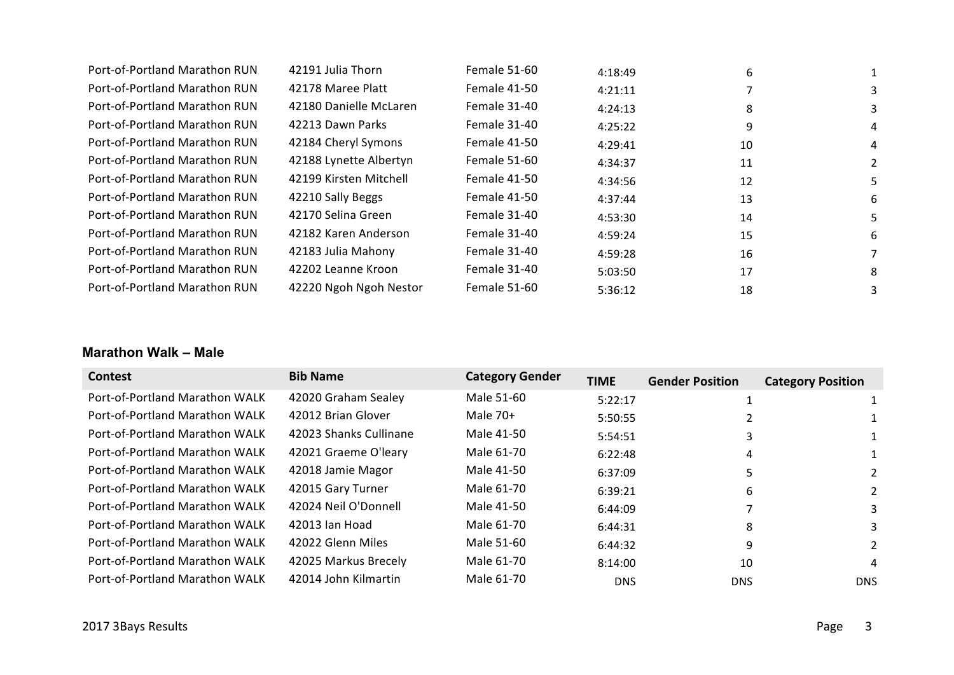| Port-of-Portland Marathon RUN | 42191 Julia Thorn      | Female 51-60        | 4:18:49 | 6  |    |
|-------------------------------|------------------------|---------------------|---------|----|----|
| Port-of-Portland Marathon RUN | 42178 Maree Platt      | Female 41-50        | 4:21:11 |    | 3  |
| Port-of-Portland Marathon RUN | 42180 Danielle McLaren | Female 31-40        | 4:24:13 | 8  | 3  |
| Port-of-Portland Marathon RUN | 42213 Dawn Parks       | Female 31-40        | 4:25:22 | 9  | 4  |
| Port-of-Portland Marathon RUN | 42184 Cheryl Symons    | Female 41-50        | 4:29:41 | 10 | 4  |
| Port-of-Portland Marathon RUN | 42188 Lynette Albertyn | Female 51-60        | 4:34:37 | 11 | 2  |
| Port-of-Portland Marathon RUN | 42199 Kirsten Mitchell | Female 41-50        | 4:34:56 | 12 | 5. |
| Port-of-Portland Marathon RUN | 42210 Sally Beggs      | Female 41-50        | 4:37:44 | 13 | 6  |
| Port-of-Portland Marathon RUN | 42170 Selina Green     | Female 31-40        | 4:53:30 | 14 | 5. |
| Port-of-Portland Marathon RUN | 42182 Karen Anderson   | Female 31-40        | 4:59:24 | 15 | 6  |
| Port-of-Portland Marathon RUN | 42183 Julia Mahony     | Female 31-40        | 4:59:28 | 16 |    |
| Port-of-Portland Marathon RUN | 42202 Leanne Kroon     | Female 31-40        | 5:03:50 | 17 | 8  |
| Port-of-Portland Marathon RUN | 42220 Ngoh Ngoh Nestor | <b>Female 51-60</b> | 5:36:12 | 18 | 3  |
|                               |                        |                     |         |    |    |

#### **Marathon Walk – Male**

| <b>Contest</b>                        | <b>Bib Name</b>        | <b>Category Gender</b> | <b>TIME</b> | <b>Gender Position</b> | <b>Category Position</b> |
|---------------------------------------|------------------------|------------------------|-------------|------------------------|--------------------------|
| Port-of-Portland Marathon WALK        | 42020 Graham Sealey    | Male 51-60             | 5:22:17     |                        |                          |
| Port-of-Portland Marathon WALK        | 42012 Brian Glover     | Male $70+$             | 5:50:55     |                        |                          |
| Port-of-Portland Marathon WALK        | 42023 Shanks Cullinane | Male 41-50             | 5:54:51     | 3                      |                          |
| Port-of-Portland Marathon WALK        | 42021 Graeme O'leary   | Male 61-70             | 6:22:48     | 4                      |                          |
| Port-of-Portland Marathon WALK        | 42018 Jamie Magor      | Male 41-50             | 6:37:09     | 5                      | 2                        |
| Port-of-Portland Marathon WALK        | 42015 Gary Turner      | Male 61-70             | 6:39:21     | 6                      | 2                        |
| Port-of-Portland Marathon WALK        | 42024 Neil O'Donnell   | Male 41-50             | 6:44:09     |                        | 3                        |
| Port-of-Portland Marathon WALK        | 42013 Ian Hoad         | Male 61-70             | 6:44:31     | 8                      | 3                        |
| Port-of-Portland Marathon WALK        | 42022 Glenn Miles      | Male 51-60             | 6:44:32     | 9                      | $\mathcal{P}$            |
| Port-of-Portland Marathon WALK        | 42025 Markus Brecely   | Male 61-70             | 8:14:00     | 10                     | 4                        |
| <b>Port-of-Portland Marathon WALK</b> | 42014 John Kilmartin   | Male 61-70             | <b>DNS</b>  | <b>DNS</b>             | <b>DNS</b>               |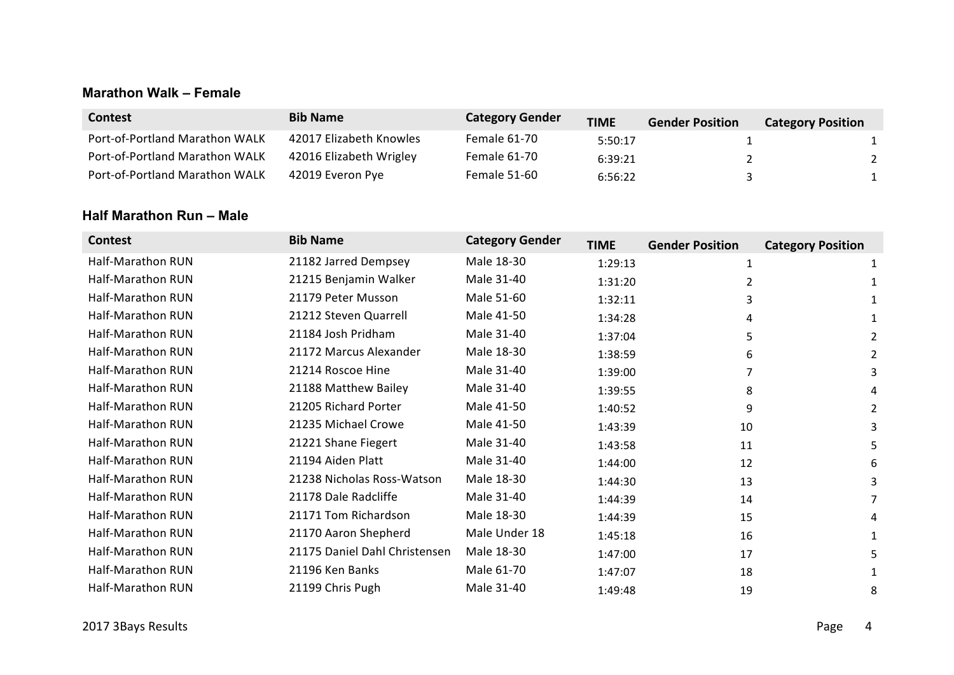#### **Marathon Walk – Female**

| Contest                        | <b>Bib Name</b>         | <b>Category Gender</b> | <b>TIME</b> | <b>Gender Position</b> | <b>Category Position</b> |
|--------------------------------|-------------------------|------------------------|-------------|------------------------|--------------------------|
| Port-of-Portland Marathon WALK | 42017 Elizabeth Knowles | <b>Female 61-70</b>    | 5:50:17     |                        |                          |
| Port-of-Portland Marathon WALK | 42016 Elizabeth Wrigley | <b>Female 61-70</b>    | 6:39:21     |                        |                          |
| Port-of-Portland Marathon WALK | 42019 Everon Pye        | <b>Female 51-60</b>    | 6:56:22     |                        |                          |

#### **Half Marathon Run – Male**

| <b>Contest</b>    | <b>Bib Name</b>               | <b>Category Gender</b> | <b>TIME</b> | <b>Gender Position</b> | <b>Category Position</b> |
|-------------------|-------------------------------|------------------------|-------------|------------------------|--------------------------|
| Half-Marathon RUN | 21182 Jarred Dempsey          | Male 18-30             | 1:29:13     | 1                      |                          |
| Half-Marathon RUN | 21215 Benjamin Walker         | Male 31-40             | 1:31:20     | 2                      |                          |
| Half-Marathon RUN | 21179 Peter Musson            | Male 51-60             | 1:32:11     | 3                      |                          |
| Half-Marathon RUN | 21212 Steven Quarrell         | Male 41-50             | 1:34:28     | 4                      |                          |
| Half-Marathon RUN | 21184 Josh Pridham            | Male 31-40             | 1:37:04     | 5                      | $\overline{2}$           |
| Half-Marathon RUN | 21172 Marcus Alexander        | Male 18-30             | 1:38:59     | 6                      | $\overline{2}$           |
| Half-Marathon RUN | 21214 Roscoe Hine             | Male 31-40             | 1:39:00     |                        | 3                        |
| Half-Marathon RUN | 21188 Matthew Bailey          | Male 31-40             | 1:39:55     | 8                      | 4                        |
| Half-Marathon RUN | 21205 Richard Porter          | Male 41-50             | 1:40:52     | 9                      | 2                        |
| Half-Marathon RUN | 21235 Michael Crowe           | Male 41-50             | 1:43:39     | 10                     | 3                        |
| Half-Marathon RUN | 21221 Shane Fiegert           | Male 31-40             | 1:43:58     | 11                     | 5                        |
| Half-Marathon RUN | 21194 Aiden Platt             | Male 31-40             | 1:44:00     | 12                     | 6                        |
| Half-Marathon RUN | 21238 Nicholas Ross-Watson    | Male 18-30             | 1:44:30     | 13                     | 3                        |
| Half-Marathon RUN | 21178 Dale Radcliffe          | Male 31-40             | 1:44:39     | 14                     | 7                        |
| Half-Marathon RUN | 21171 Tom Richardson          | Male 18-30             | 1:44:39     | 15                     | 4                        |
| Half-Marathon RUN | 21170 Aaron Shepherd          | Male Under 18          | 1:45:18     | 16                     | 1                        |
| Half-Marathon RUN | 21175 Daniel Dahl Christensen | Male 18-30             | 1:47:00     | 17                     | 5                        |
| Half-Marathon RUN | 21196 Ken Banks               | Male 61-70             | 1:47:07     | 18                     |                          |
| Half-Marathon RUN | 21199 Chris Pugh              | Male 31-40             | 1:49:48     | 19                     | 8                        |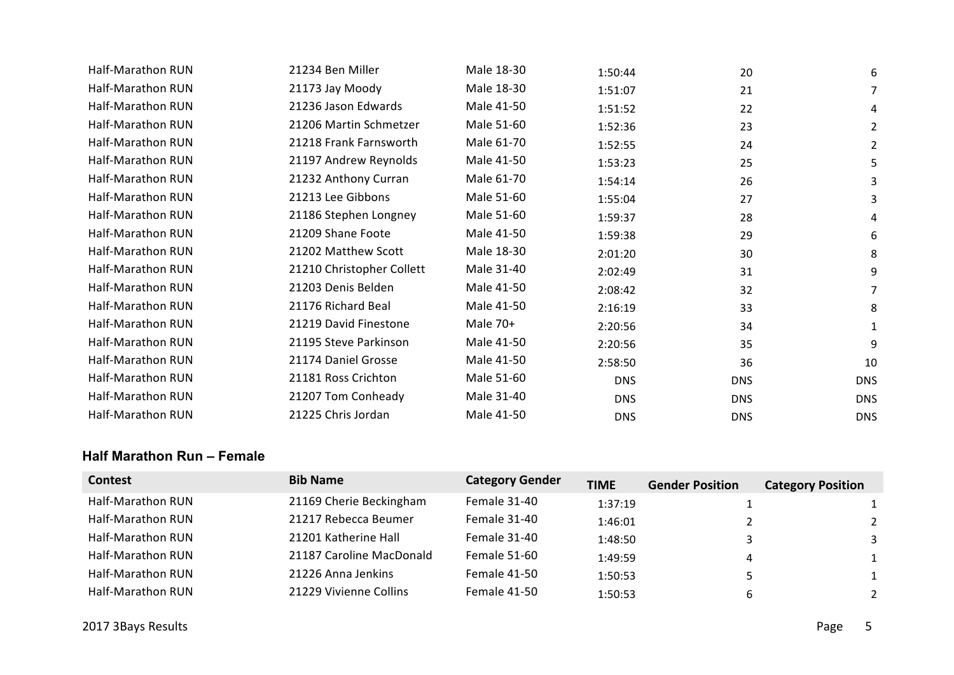| Half-Marathon RUN | 21234 Ben Miller          | Male 18-30 | 1:50:44    | 20         | 6          |
|-------------------|---------------------------|------------|------------|------------|------------|
| Half-Marathon RUN | 21173 Jay Moody           | Male 18-30 | 1:51:07    | 21         | 7          |
| Half-Marathon RUN | 21236 Jason Edwards       | Male 41-50 | 1:51:52    | 22         | 4          |
| Half-Marathon RUN | 21206 Martin Schmetzer    | Male 51-60 | 1:52:36    | 23         | 2          |
| Half-Marathon RUN | 21218 Frank Farnsworth    | Male 61-70 | 1:52:55    | 24         | 2          |
| Half-Marathon RUN | 21197 Andrew Reynolds     | Male 41-50 | 1:53:23    | 25         | 5          |
| Half-Marathon RUN | 21232 Anthony Curran      | Male 61-70 | 1:54:14    | 26         | 3          |
| Half-Marathon RUN | 21213 Lee Gibbons         | Male 51-60 | 1:55:04    | 27         | 3          |
| Half-Marathon RUN | 21186 Stephen Longney     | Male 51-60 | 1:59:37    | 28         | 4          |
| Half-Marathon RUN | 21209 Shane Foote         | Male 41-50 | 1:59:38    | 29         | 6          |
| Half-Marathon RUN | 21202 Matthew Scott       | Male 18-30 | 2:01:20    | 30         | 8          |
| Half-Marathon RUN | 21210 Christopher Collett | Male 31-40 | 2:02:49    | 31         | 9          |
| Half-Marathon RUN | 21203 Denis Belden        | Male 41-50 | 2:08:42    | 32         | 7          |
| Half-Marathon RUN | 21176 Richard Beal        | Male 41-50 | 2:16:19    | 33         | 8          |
| Half-Marathon RUN | 21219 David Finestone     | Male 70+   | 2:20:56    | 34         | 1          |
| Half-Marathon RUN | 21195 Steve Parkinson     | Male 41-50 | 2:20:56    | 35         | 9          |
| Half-Marathon RUN | 21174 Daniel Grosse       | Male 41-50 | 2:58:50    | 36         | 10         |
| Half-Marathon RUN | 21181 Ross Crichton       | Male 51-60 | <b>DNS</b> | <b>DNS</b> | <b>DNS</b> |
| Half-Marathon RUN | 21207 Tom Conheady        | Male 31-40 | <b>DNS</b> | <b>DNS</b> | <b>DNS</b> |
| Half-Marathon RUN | 21225 Chris Jordan        | Male 41-50 | <b>DNS</b> | <b>DNS</b> | <b>DNS</b> |
|                   |                           |            |            |            |            |

#### **Half Marathon Run – Female**

| <b>Contest</b>           | <b>Bib Name</b>          | <b>Category Gender</b> | <b>TIME</b> | <b>Gender Position</b> | <b>Category Position</b> |
|--------------------------|--------------------------|------------------------|-------------|------------------------|--------------------------|
| Half-Marathon RUN        | 21169 Cherie Beckingham  | Female 31-40           | 1:37:19     |                        | $\mathbf{1}$             |
| Half-Marathon RUN        | 21217 Rebecca Beumer     | Female 31-40           | 1:46:01     |                        | $2^{\circ}$              |
| Half-Marathon RUN        | 21201 Katherine Hall     | Female 31-40           | 1:48:50     |                        | 3                        |
| <b>Half-Marathon RUN</b> | 21187 Caroline MacDonald | Female 51-60           | 1:49:59     | 4                      | $\mathbf{1}$             |
| Half-Marathon RUN        | 21226 Anna Jenkins       | Female 41-50           | 1:50:53     |                        | $\mathbf{1}$             |
| Half-Marathon RUN        | 21229 Vivienne Collins   | Female 41-50           | 1:50:53     | 6                      | $\mathcal{P}$            |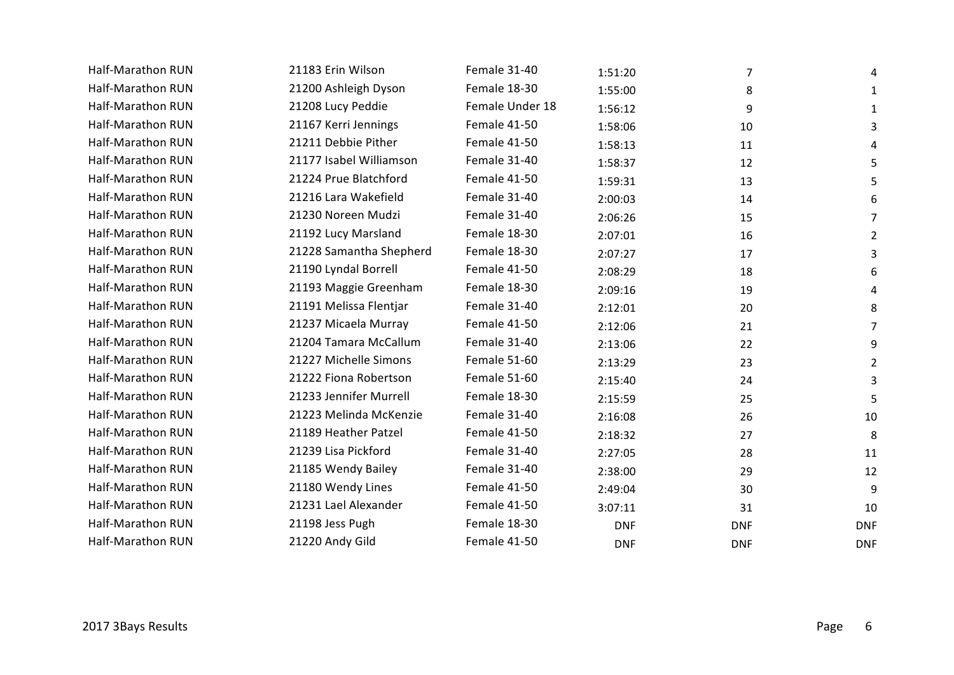| Half-Marathon RUN | 21183 Erin Wilson       | Female 31-40    | 1:51:20    | 7          | 4              |
|-------------------|-------------------------|-----------------|------------|------------|----------------|
| Half-Marathon RUN | 21200 Ashleigh Dyson    | Female 18-30    | 1:55:00    | 8          | $\mathbf{1}$   |
| Half-Marathon RUN | 21208 Lucy Peddie       | Female Under 18 | 1:56:12    | 9          | 1              |
| Half-Marathon RUN | 21167 Kerri Jennings    | Female 41-50    | 1:58:06    | 10         | 3              |
| Half-Marathon RUN | 21211 Debbie Pither     | Female 41-50    | 1:58:13    | 11         | 4              |
| Half-Marathon RUN | 21177 Isabel Williamson | Female 31-40    | 1:58:37    | 12         | 5              |
| Half-Marathon RUN | 21224 Prue Blatchford   | Female 41-50    | 1:59:31    | 13         | 5              |
| Half-Marathon RUN | 21216 Lara Wakefield    | Female 31-40    | 2:00:03    | 14         | 6              |
| Half-Marathon RUN | 21230 Noreen Mudzi      | Female 31-40    | 2:06:26    | 15         | 7              |
| Half-Marathon RUN | 21192 Lucy Marsland     | Female 18-30    | 2:07:01    | 16         | $\overline{2}$ |
| Half-Marathon RUN | 21228 Samantha Shepherd | Female 18-30    | 2:07:27    | 17         | 3              |
| Half-Marathon RUN | 21190 Lyndal Borrell    | Female 41-50    | 2:08:29    | 18         | 6              |
| Half-Marathon RUN | 21193 Maggie Greenham   | Female 18-30    | 2:09:16    | 19         | 4              |
| Half-Marathon RUN | 21191 Melissa Flentjar  | Female 31-40    | 2:12:01    | 20         | 8              |
| Half-Marathon RUN | 21237 Micaela Murray    | Female 41-50    | 2:12:06    | 21         | 7              |
| Half-Marathon RUN | 21204 Tamara McCallum   | Female 31-40    | 2:13:06    | 22         | 9              |
| Half-Marathon RUN | 21227 Michelle Simons   | Female 51-60    | 2:13:29    | 23         | $\overline{2}$ |
| Half-Marathon RUN | 21222 Fiona Robertson   | Female 51-60    | 2:15:40    | 24         | 3              |
| Half-Marathon RUN | 21233 Jennifer Murrell  | Female 18-30    | 2:15:59    | 25         | 5              |
| Half-Marathon RUN | 21223 Melinda McKenzie  | Female 31-40    | 2:16:08    | 26         | 10             |
| Half-Marathon RUN | 21189 Heather Patzel    | Female 41-50    | 2:18:32    | 27         | 8              |
| Half-Marathon RUN | 21239 Lisa Pickford     | Female 31-40    | 2:27:05    | 28         | 11             |
| Half-Marathon RUN | 21185 Wendy Bailey      | Female 31-40    | 2:38:00    | 29         | 12             |
| Half-Marathon RUN | 21180 Wendy Lines       | Female 41-50    | 2:49:04    | 30         | 9              |
| Half-Marathon RUN | 21231 Lael Alexander    | Female 41-50    | 3:07:11    | 31         | 10             |
| Half-Marathon RUN | 21198 Jess Pugh         | Female 18-30    | <b>DNF</b> | <b>DNF</b> | <b>DNF</b>     |
| Half-Marathon RUN | 21220 Andy Gild         | Female 41-50    | <b>DNF</b> | <b>DNF</b> | <b>DNF</b>     |
|                   |                         |                 |            |            |                |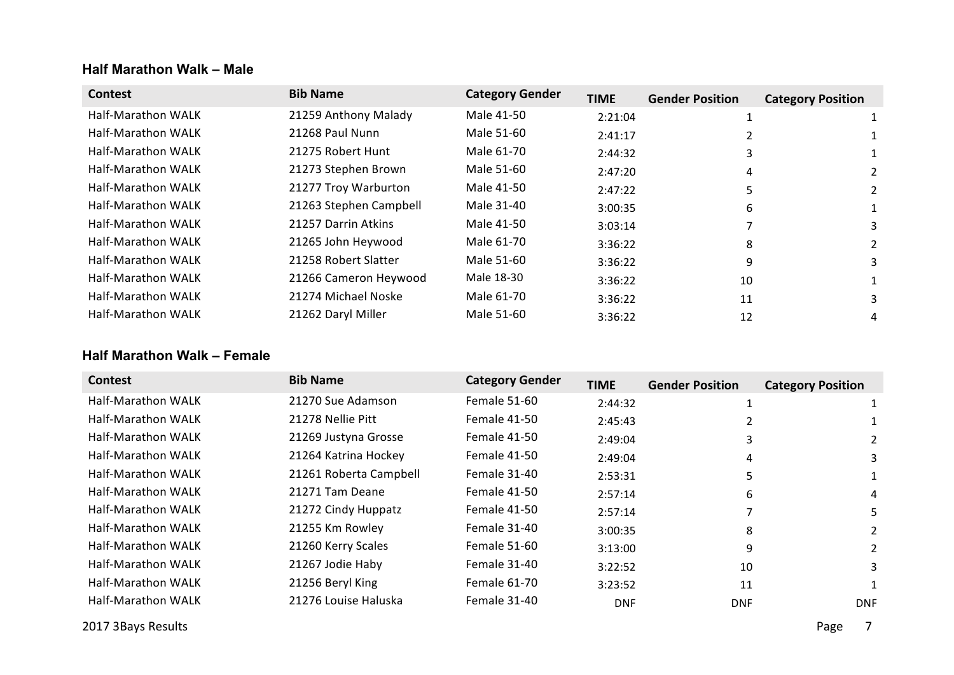#### **Half Marathon Walk – Male**

| <b>Contest</b>            | <b>Bib Name</b>        | <b>Category Gender</b> | <b>TIME</b> | <b>Gender Position</b> | <b>Category Position</b> |
|---------------------------|------------------------|------------------------|-------------|------------------------|--------------------------|
| <b>Half-Marathon WALK</b> | 21259 Anthony Malady   | Male 41-50             | 2:21:04     |                        |                          |
| Half-Marathon WALK        | 21268 Paul Nunn        | Male 51-60             | 2:41:17     |                        |                          |
| <b>Half-Marathon WALK</b> | 21275 Robert Hunt      | Male 61-70             | 2:44:32     | 3                      |                          |
| Half-Marathon WALK        | 21273 Stephen Brown    | Male 51-60             | 2:47:20     | 4                      |                          |
| Half-Marathon WALK        | 21277 Troy Warburton   | Male 41-50             | 2:47:22     | 5                      | 2                        |
| Half-Marathon WALK        | 21263 Stephen Campbell | Male 31-40             | 3:00:35     | 6                      |                          |
| Half-Marathon WALK        | 21257 Darrin Atkins    | Male 41-50             | 3:03:14     |                        | 3                        |
| <b>Half-Marathon WALK</b> | 21265 John Heywood     | Male 61-70             | 3:36:22     | 8                      | 2                        |
| <b>Half-Marathon WALK</b> | 21258 Robert Slatter   | Male 51-60             | 3:36:22     | 9                      | 3                        |
| <b>Half-Marathon WALK</b> | 21266 Cameron Heywood  | Male 18-30             | 3:36:22     | 10                     |                          |
| <b>Half-Marathon WALK</b> | 21274 Michael Noske    | Male 61-70             | 3:36:22     | 11                     | 3                        |
| <b>Half-Marathon WALK</b> | 21262 Daryl Miller     | Male 51-60             | 3:36:22     | 12                     | 4                        |

#### **Half Marathon Walk – Female**

| <b>Contest</b>            | <b>Bib Name</b>        | <b>Category Gender</b> | <b>TIME</b> | <b>Gender Position</b> | <b>Category Position</b> |
|---------------------------|------------------------|------------------------|-------------|------------------------|--------------------------|
| <b>Half-Marathon WALK</b> | 21270 Sue Adamson      | Female 51-60           | 2:44:32     |                        | 1                        |
| <b>Half-Marathon WALK</b> | 21278 Nellie Pitt      | Female 41-50           | 2:45:43     |                        |                          |
| <b>Half-Marathon WALK</b> | 21269 Justyna Grosse   | Female 41-50           | 2:49:04     | 3                      |                          |
| <b>Half-Marathon WALK</b> | 21264 Katrina Hockey   | Female 41-50           | 2:49:04     | 4                      |                          |
| <b>Half-Marathon WALK</b> | 21261 Roberta Campbell | Female 31-40           | 2:53:31     | 5                      |                          |
| <b>Half-Marathon WALK</b> | 21271 Tam Deane        | Female 41-50           | 2:57:14     | 6                      | 4                        |
| <b>Half-Marathon WALK</b> | 21272 Cindy Huppatz    | Female 41-50           | 2:57:14     |                        | 5.                       |
| <b>Half-Marathon WALK</b> | 21255 Km Rowley        | Female 31-40           | 3:00:35     | 8                      | 2                        |
| <b>Half-Marathon WALK</b> | 21260 Kerry Scales     | Female 51-60           | 3:13:00     | 9                      | 2                        |
| <b>Half-Marathon WALK</b> | 21267 Jodie Haby       | <b>Female 31-40</b>    | 3:22:52     | 10                     | 3.                       |
| Half-Marathon WALK        | 21256 Beryl King       | Female 61-70           | 3:23:52     | 11                     |                          |
| <b>Half-Marathon WALK</b> | 21276 Louise Haluska   | Female 31-40           | <b>DNF</b>  | <b>DNF</b>             | <b>DNF</b>               |

2017 3Bays Results **Page** 2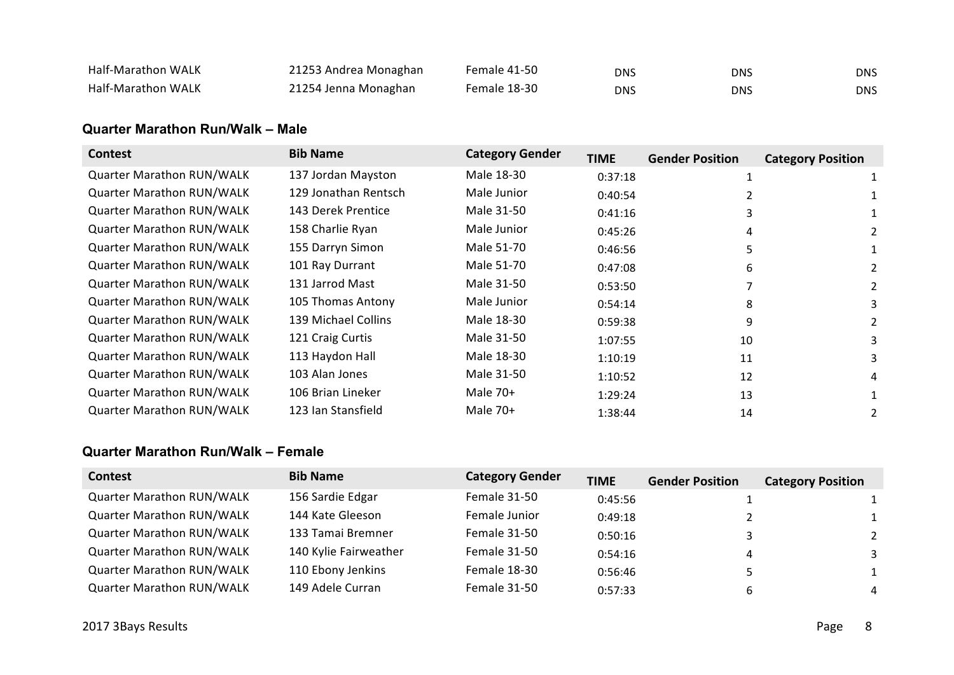| Half-Marathon WALK        | 21253 Andrea Monaghan | Female 41-50 | DNS | DNS | DNS. |
|---------------------------|-----------------------|--------------|-----|-----|------|
| <b>Half-Marathon WALK</b> | 21254 Jenna Monaghan  | Female 18-30 | DNS | DNS | DNS. |

#### **Quarter Marathon Run/Walk – Male**

| <b>Contest</b>                   | <b>Bib Name</b>      | <b>Category Gender</b> | <b>TIME</b> | <b>Gender Position</b> | <b>Category Position</b> |
|----------------------------------|----------------------|------------------------|-------------|------------------------|--------------------------|
| <b>Quarter Marathon RUN/WALK</b> | 137 Jordan Mayston   | Male 18-30             | 0:37:18     |                        |                          |
| <b>Quarter Marathon RUN/WALK</b> | 129 Jonathan Rentsch | Male Junior            | 0:40:54     |                        |                          |
| <b>Quarter Marathon RUN/WALK</b> | 143 Derek Prentice   | Male 31-50             | 0:41:16     | 3                      |                          |
| <b>Quarter Marathon RUN/WALK</b> | 158 Charlie Ryan     | Male Junior            | 0:45:26     | 4                      |                          |
| <b>Quarter Marathon RUN/WALK</b> | 155 Darryn Simon     | Male 51-70             | 0:46:56     | 5                      |                          |
| <b>Quarter Marathon RUN/WALK</b> | 101 Ray Durrant      | Male 51-70             | 0:47:08     | 6                      | 2                        |
| <b>Quarter Marathon RUN/WALK</b> | 131 Jarrod Mast      | Male 31-50             | 0:53:50     |                        | 2                        |
| <b>Quarter Marathon RUN/WALK</b> | 105 Thomas Antony    | Male Junior            | 0:54:14     | 8                      | 3                        |
| <b>Quarter Marathon RUN/WALK</b> | 139 Michael Collins  | Male 18-30             | 0:59:38     | 9                      | 2                        |
| <b>Quarter Marathon RUN/WALK</b> | 121 Craig Curtis     | Male 31-50             | 1:07:55     | 10                     | 3                        |
| <b>Quarter Marathon RUN/WALK</b> | 113 Haydon Hall      | Male 18-30             | 1:10:19     | 11                     | 3                        |
| <b>Quarter Marathon RUN/WALK</b> | 103 Alan Jones       | Male 31-50             | 1:10:52     | 12                     | 4                        |
| <b>Quarter Marathon RUN/WALK</b> | 106 Brian Lineker    | Male 70+               | 1:29:24     | 13                     |                          |
| <b>Quarter Marathon RUN/WALK</b> | 123 Ian Stansfield   | Male 70+               | 1:38:44     | 14                     |                          |

#### **Quarter Marathon Run/Walk – Female**

| <b>Contest</b>                   | <b>Bib Name</b>       | <b>Category Gender</b> | <b>TIME</b> | <b>Gender Position</b> | <b>Category Position</b> |
|----------------------------------|-----------------------|------------------------|-------------|------------------------|--------------------------|
| <b>Quarter Marathon RUN/WALK</b> | 156 Sardie Edgar      | Female 31-50           | 0:45:56     |                        |                          |
| <b>Quarter Marathon RUN/WALK</b> | 144 Kate Gleeson      | Female Junior          | 0:49:18     |                        |                          |
| <b>Quarter Marathon RUN/WALK</b> | 133 Tamai Bremner     | Female 31-50           | 0:50:16     |                        | 2                        |
| <b>Quarter Marathon RUN/WALK</b> | 140 Kylie Fairweather | Female 31-50           | 0:54:16     |                        | 3                        |
| <b>Quarter Marathon RUN/WALK</b> | 110 Ebony Jenkins     | Female 18-30           | 0:56:46     |                        | $\mathbf{1}$             |
| <b>Quarter Marathon RUN/WALK</b> | 149 Adele Curran      | Female 31-50           | 0:57:33     |                        | 4                        |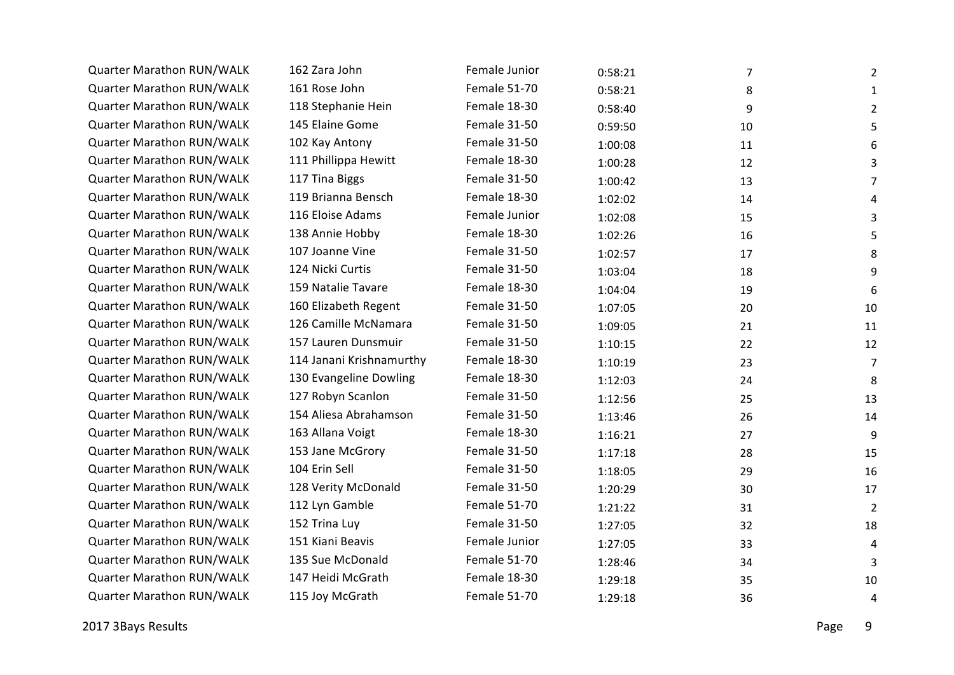| Quarter Marathon RUN/WALK        | 162 Zara John            | Female Junior       | 0:58:21 | $\overline{7}$ | $\overline{2}$ |
|----------------------------------|--------------------------|---------------------|---------|----------------|----------------|
| Quarter Marathon RUN/WALK        | 161 Rose John            | <b>Female 51-70</b> | 0:58:21 | 8              | $\mathbf{1}$   |
| Quarter Marathon RUN/WALK        | 118 Stephanie Hein       | Female 18-30        | 0:58:40 | 9              | $\overline{2}$ |
| Quarter Marathon RUN/WALK        | 145 Elaine Gome          | <b>Female 31-50</b> | 0:59:50 | 10             | 5              |
| Quarter Marathon RUN/WALK        | 102 Kay Antony           | <b>Female 31-50</b> | 1:00:08 | 11             | 6              |
| Quarter Marathon RUN/WALK        | 111 Phillippa Hewitt     | Female 18-30        | 1:00:28 | 12             | 3              |
| Quarter Marathon RUN/WALK        | 117 Tina Biggs           | <b>Female 31-50</b> | 1:00:42 | 13             | $\overline{7}$ |
| Quarter Marathon RUN/WALK        | 119 Brianna Bensch       | Female 18-30        | 1:02:02 | 14             | 4              |
| Quarter Marathon RUN/WALK        | 116 Eloise Adams         | Female Junior       | 1:02:08 | 15             | 3              |
| Quarter Marathon RUN/WALK        | 138 Annie Hobby          | Female 18-30        | 1:02:26 | 16             | 5              |
| Quarter Marathon RUN/WALK        | 107 Joanne Vine          | Female 31-50        | 1:02:57 | 17             | 8              |
| Quarter Marathon RUN/WALK        | 124 Nicki Curtis         | <b>Female 31-50</b> | 1:03:04 | 18             | 9              |
| Quarter Marathon RUN/WALK        | 159 Natalie Tavare       | Female 18-30        | 1:04:04 | 19             | 6              |
| <b>Quarter Marathon RUN/WALK</b> | 160 Elizabeth Regent     | <b>Female 31-50</b> | 1:07:05 | 20             | 10             |
| Quarter Marathon RUN/WALK        | 126 Camille McNamara     | Female 31-50        | 1:09:05 | 21             | 11             |
| Quarter Marathon RUN/WALK        | 157 Lauren Dunsmuir      | <b>Female 31-50</b> | 1:10:15 | 22             | 12             |
| Quarter Marathon RUN/WALK        | 114 Janani Krishnamurthy | Female 18-30        | 1:10:19 | 23             | $\overline{7}$ |
| Quarter Marathon RUN/WALK        | 130 Evangeline Dowling   | Female 18-30        | 1:12:03 | 24             | 8              |
| Quarter Marathon RUN/WALK        | 127 Robyn Scanlon        | Female 31-50        | 1:12:56 | 25             | 13             |
| Quarter Marathon RUN/WALK        | 154 Aliesa Abrahamson    | <b>Female 31-50</b> | 1:13:46 | 26             | 14             |
| Quarter Marathon RUN/WALK        | 163 Allana Voigt         | Female 18-30        | 1:16:21 | 27             | 9              |
| <b>Quarter Marathon RUN/WALK</b> | 153 Jane McGrory         | <b>Female 31-50</b> | 1:17:18 | 28             | 15             |
| Quarter Marathon RUN/WALK        | 104 Erin Sell            | <b>Female 31-50</b> | 1:18:05 | 29             | 16             |
| <b>Quarter Marathon RUN/WALK</b> | 128 Verity McDonald      | <b>Female 31-50</b> | 1:20:29 | 30             | 17             |
| <b>Quarter Marathon RUN/WALK</b> | 112 Lyn Gamble           | <b>Female 51-70</b> | 1:21:22 | 31             | $\overline{2}$ |
| <b>Quarter Marathon RUN/WALK</b> | 152 Trina Luy            | <b>Female 31-50</b> | 1:27:05 | 32             | 18             |
| Quarter Marathon RUN/WALK        | 151 Kiani Beavis         | Female Junior       | 1:27:05 | 33             | 4              |
| Quarter Marathon RUN/WALK        | 135 Sue McDonald         | <b>Female 51-70</b> | 1:28:46 | 34             | 3              |
| Quarter Marathon RUN/WALK        | 147 Heidi McGrath        | Female 18-30        | 1:29:18 | 35             | 10             |
| Quarter Marathon RUN/WALK        | 115 Joy McGrath          | Female 51-70        | 1:29:18 | 36             | 4              |
|                                  |                          |                     |         |                |                |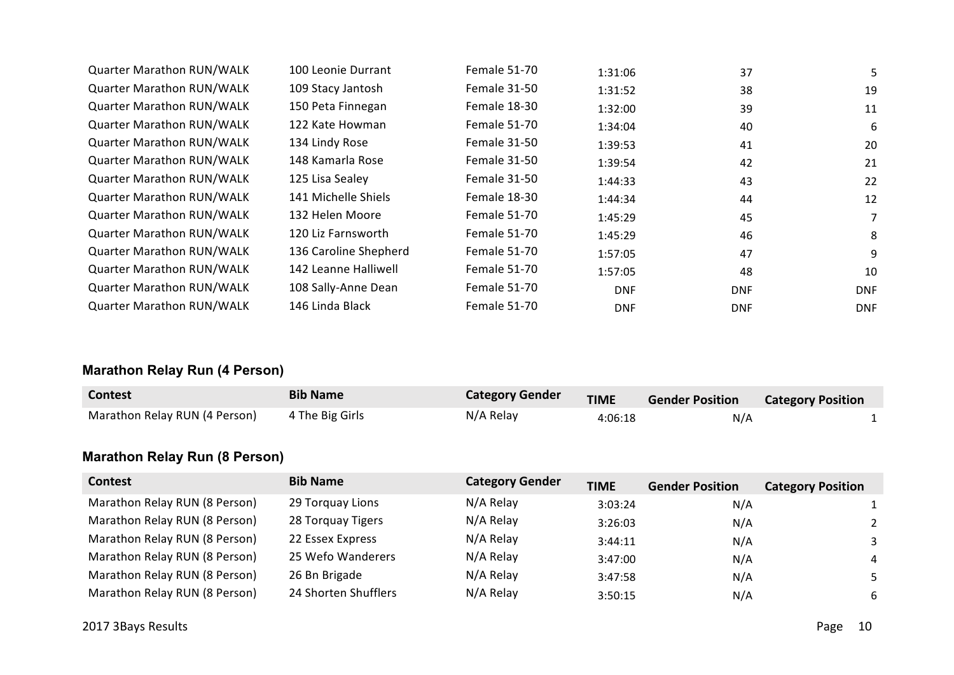| <b>Quarter Marathon RUN/WALK</b> | 100 Leonie Durrant    | Female 51-70 | 1:31:06    | 37         | 5.         |
|----------------------------------|-----------------------|--------------|------------|------------|------------|
| <b>Quarter Marathon RUN/WALK</b> | 109 Stacy Jantosh     | Female 31-50 | 1:31:52    | 38         | 19         |
| <b>Quarter Marathon RUN/WALK</b> | 150 Peta Finnegan     | Female 18-30 | 1:32:00    | 39         | 11         |
| <b>Quarter Marathon RUN/WALK</b> | 122 Kate Howman       | Female 51-70 | 1:34:04    | 40         | 6          |
| <b>Quarter Marathon RUN/WALK</b> | 134 Lindy Rose        | Female 31-50 | 1:39:53    | 41         | 20         |
| <b>Quarter Marathon RUN/WALK</b> | 148 Kamarla Rose      | Female 31-50 | 1:39:54    | 42         | 21         |
| <b>Quarter Marathon RUN/WALK</b> | 125 Lisa Sealey       | Female 31-50 | 1:44:33    | 43         | 22         |
| <b>Quarter Marathon RUN/WALK</b> | 141 Michelle Shiels   | Female 18-30 | 1:44:34    | 44         | 12         |
| <b>Quarter Marathon RUN/WALK</b> | 132 Helen Moore       | Female 51-70 | 1:45:29    | 45         | 7          |
| <b>Quarter Marathon RUN/WALK</b> | 120 Liz Farnsworth    | Female 51-70 | 1:45:29    | 46         | 8          |
| <b>Quarter Marathon RUN/WALK</b> | 136 Caroline Shepherd | Female 51-70 | 1:57:05    | 47         | 9          |
| <b>Quarter Marathon RUN/WALK</b> | 142 Leanne Halliwell  | Female 51-70 | 1:57:05    | 48         | 10         |
| <b>Quarter Marathon RUN/WALK</b> | 108 Sally-Anne Dean   | Female 51-70 | <b>DNF</b> | <b>DNF</b> | <b>DNF</b> |
| <b>Quarter Marathon RUN/WALK</b> | 146 Linda Black       | Female 51-70 | <b>DNF</b> | <b>DNF</b> | <b>DNF</b> |

# **Marathon Relay Run (4 Person)**

| <b>Contest</b>                | <b>Bib Name</b> | <b>Category Gender</b> | <b>TIME</b> | <b>Gender Position</b> | <b>Category Position</b> |  |
|-------------------------------|-----------------|------------------------|-------------|------------------------|--------------------------|--|
| Marathon Relay RUN (4 Person) | 4 The Big Girls | N/A Relay              | 4:06:18     | N/A                    |                          |  |

# **Marathon Relay Run (8 Person)**

| <b>Contest</b>                | <b>Bib Name</b>      | <b>Category Gender</b> | <b>TIME</b> | <b>Gender Position</b> | <b>Category Position</b> |
|-------------------------------|----------------------|------------------------|-------------|------------------------|--------------------------|
| Marathon Relay RUN (8 Person) | 29 Torquay Lions     | N/A Relay              | 3:03:24     | N/A                    |                          |
| Marathon Relay RUN (8 Person) | 28 Torquay Tigers    | N/A Relay              | 3:26:03     | N/A                    |                          |
| Marathon Relay RUN (8 Person) | 22 Essex Express     | N/A Relay              | 3:44:11     | N/A                    | 3                        |
| Marathon Relay RUN (8 Person) | 25 Wefo Wanderers    | N/A Relay              | 3:47:00     | N/A                    | 4                        |
| Marathon Relay RUN (8 Person) | 26 Bn Brigade        | N/A Relay              | 3:47:58     | N/A                    | 5.                       |
| Marathon Relay RUN (8 Person) | 24 Shorten Shufflers | N/A Relay              | 3:50:15     | N/A                    | 6                        |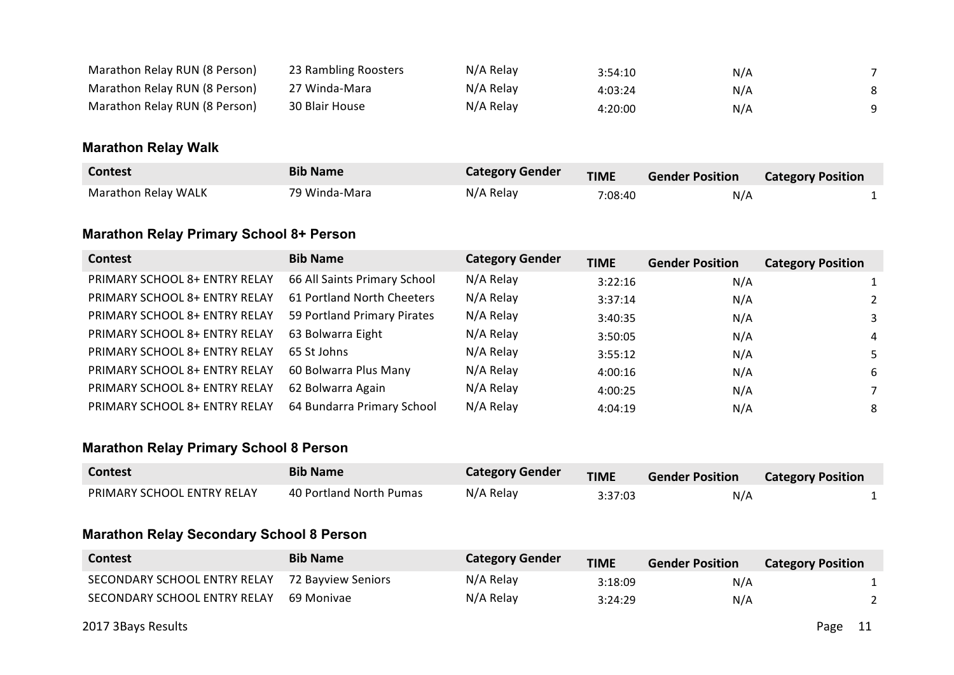| Marathon Relay RUN (8 Person) | 23 Rambling Roosters | N/A Relay | 3:54:10 | N/A |  |
|-------------------------------|----------------------|-----------|---------|-----|--|
| Marathon Relay RUN (8 Person) | 27 Winda-Mara        | N/A Relay | 4:03:24 | N/A |  |
| Marathon Relay RUN (8 Person) | 30 Blair House       | N/A Relay | 4:20:00 | N/A |  |

#### **Marathon Relay Walk**

| <b>Contest</b>             | <b>Bib Name</b> | <b>Category Gender</b> | <b>TIME</b> | <b>Gender Position</b> | <b>Category Position</b> |  |
|----------------------------|-----------------|------------------------|-------------|------------------------|--------------------------|--|
| <b>Marathon Relay WALK</b> | 79 Winda-Mara   | N/A Relay              | 7:08:40     | N/A                    |                          |  |

## **Marathon Relay Primary School 8+ Person**

| <b>Contest</b>                | <b>Bib Name</b>              | <b>Category Gender</b> | <b>TIME</b> | <b>Gender Position</b> | <b>Category Position</b> |
|-------------------------------|------------------------------|------------------------|-------------|------------------------|--------------------------|
| PRIMARY SCHOOL 8+ ENTRY RELAY | 66 All Saints Primary School | N/A Relay              | 3:22:16     | N/A                    |                          |
| PRIMARY SCHOOL 8+ ENTRY RELAY | 61 Portland North Cheeters   | N/A Relay              | 3:37:14     | N/A                    | 2                        |
| PRIMARY SCHOOL 8+ ENTRY RELAY | 59 Portland Primary Pirates  | N/A Relay              | 3:40:35     | N/A                    | 3                        |
| PRIMARY SCHOOL 8+ ENTRY RELAY | 63 Bolwarra Eight            | N/A Relay              | 3:50:05     | N/A                    | 4                        |
| PRIMARY SCHOOL 8+ ENTRY RELAY | 65 St Johns                  | N/A Relay              | 3:55:12     | N/A                    | 5.                       |
| PRIMARY SCHOOL 8+ ENTRY RELAY | 60 Bolwarra Plus Many        | N/A Relay              | 4:00:16     | N/A                    | 6                        |
| PRIMARY SCHOOL 8+ ENTRY RELAY | 62 Bolwarra Again            | N/A Relay              | 4:00:25     | N/A                    |                          |
| PRIMARY SCHOOL 8+ ENTRY RELAY | 64 Bundarra Primary School   | N/A Relay              | 4:04:19     | N/A                    | 8                        |

## **Marathon Relay Primary School 8 Person**

| <b>Contest</b>             | <b>Bib Name</b>         | <b>Category Gender</b> | <b>TIME</b> | <b>Gender Position</b> | <b>Category Position</b> |
|----------------------------|-------------------------|------------------------|-------------|------------------------|--------------------------|
| PRIMARY SCHOOL ENTRY RELAY | 40 Portland North Pumas | N/A Relay              | 3:37:03     | N/A                    |                          |

#### **Marathon Relay Secondary School 8 Person**

| <b>Contest</b>               | <b>Bib Name</b>    | <b>Category Gender</b> | <b>TIME</b> | <b>Gender Position</b> | <b>Category Position</b> |
|------------------------------|--------------------|------------------------|-------------|------------------------|--------------------------|
| SECONDARY SCHOOL ENTRY RELAY | 72 Bavview Seniors | N/A Relay              | 3:18:09     | N/A                    |                          |
| SECONDARY SCHOOL ENTRY RELAY | 69 Monivae         | N/A Relay              | 3:24:29     | N/A                    |                          |